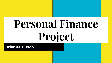# **Personal Finance Project**

### **Brianna Busch**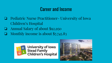### Career and Income

- ❏ Pediatric Nurse Practitioner- University of Iowa Children's Hospital
- ❏ Annual Salary of about \$92,950
- ❏ Monthly income is about \$7,745.83



University of Iowa<br>Stead Family<br>Children's Hospital

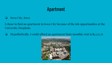### Apartment

❏ Iowa City, Iowa

I chose to find an apartment in Iowa City because of the job opportunities at the University Hospitals.

❏ Hypothetically, I could afford an apartment thats monthly rent is \$2,323.75

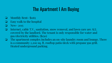### The Apartment I Am Buying

- ❏ Monthly Rent- \$1165
- ❏ Easy walk to the hospital
- ❏ New- 2015
- ❏ Internet, cable T.V., sanitation, snow removal, and lawn care are ALL covered by the landlord. The tenant is only responsible for water and gas/electricity utilities. (\$150)
- ❏ The apartment complex includes an on-site laundry room and lounge. There is a community 2,200 sq. ft. rooftop patio/deck with propane gas grill. Heated underground parking.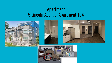### Apartment 5 Lincoln Avenue: Apartment 104



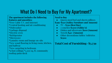### What Do I Need to Buy For My Apartment?

#### **The apartment includes the following features and amenities:**

\*Free Cable T.V. and Internet

\*Central heating and air conditioning

\*Dishwasher

\*Garbage disposal

\*Electric oven

\*Refrigerator

\*Microwave

\*Laundry room and lounge on-site

\*New wood flooring in living room, kitchen, and hallway

\*New carpeting in bedroom

\*9 foot ceilings \*2,200 sq. ft. community rooftop patio/deck

#### **Need to Buy**

Oueen sized bed and sheets/pillows **\$399+\$150 (Ashley Furniture and Amazon)**

- TV **\$350 (Best Buy)**
- 2 couches **\$1200 (Ashley's)**
- Dishes and silverware **\$100 (Amazon)**
- Towels **\$40- (Amazon)**
- Other decorations/tables/ toiletries **\$1500**

### **Total Cost of Furnishing- \$3,739**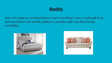# **Monthly**

Since it is going to cost about \$4000 to get everything I want, I could split it up and spend \$1000 per month, making it 4 months until I am done buying everything.



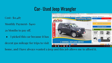## Car- Used Jeep Wrangler

Cost- \$11,487

Monthly Payment- \$400

29 Months to pay off.

• I picked this car because it has

decent gas mileage for trips to visit



home, and I have always wanted a jeep and this job allows me to afford it.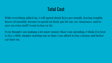## Total Cost

With everything added up, I will spend about \$2715 per month, leaving roughly \$5000 of monthly income to spend on food, gas for my car, insurance, and to save on extra stuff I want to buy or do.

Even though I am making a lot more money than I am spending, I think it is best to live a little simpler starting out so that I can afford to buy a house and better car later on.